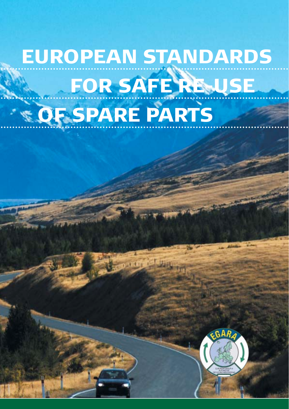# EUROPEAN STANDARDS FOR SAFE RE-USE **OF SPARE PARTS**

**DETER L**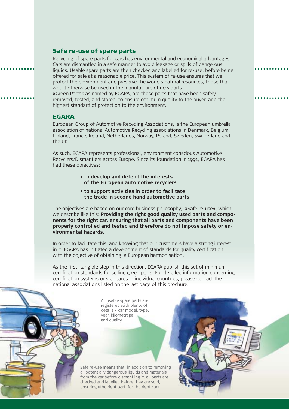#### Safe re-use of spare parts

Recycling of spare parts for cars has environmental and economical advantages. Cars are dismantled in a safe manner to avoid leakage or spills of dangerous liquids. Usable spare parts are then checked and labelled for re-use, before being offered for sale at a reasonable price. This system of re-use ensures that we protect the environment and preserve the world's natural resources, those that would otherwise be used in the manufacture of new parts. »Green Parts« as named by EGARA, are those parts that have been safely

removed, tested, and stored, to ensure optimum quality to the buyer, and the highest standard of protection to the environment.

#### EGARA

European Group of Automotive Recycling Associations, is the European umbrella association of national Automotive Recycling associations in Denmark, Belgium, Finland, France, Ireland, Netherlands, Norway, Poland, Sweden, Switzerland and the UK.

As such, EGARA represents professional, environment conscious Automotive Recyclers/Dismantlers across Europe. Since its foundation in 1991, EGARA has had these objectives:

- **to develop and defend the interests of the European automotive recyclers**
- **to support activities in order to facilitate the trade in second hand automotive parts**

The objectives are based on our core business philosophy, »Safe re-use«, which we describe like this: **Providing the right good quality used parts and components for the right car, ensuring that all parts and components have been properly controlled and tested and therefore do not impose safety or environmental hazards.**

In order to facilitate this, and knowing that our customers have a strong interest in it, EGARA has initiated a development of standards for quality certification, with the objective of obtaining a European harmonisation.

As the first, tangible step in this direction, EGARA publish this set of minimum certification standards for selling green parts. For detailed information concerning certification systems or standards in individual countries, please contact the national associations listed on the last page of this brochure.

> All usable spare parts are registered with plenty of details – car model, type, year, kilometrage and quality.



Safe re-use means that, in addition to removing all potentially dangerous liquids and materials from the car before dismantling it, all parts are checked and labelled before they are sold, ensuring »the right part, for the right car«.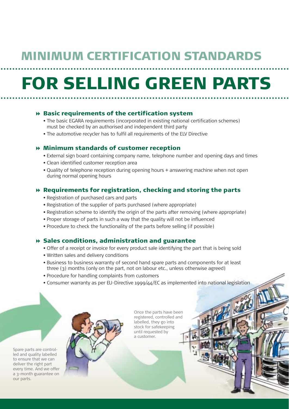### MINIMUM CERTIFICATION STANDARDS

## FOR SELLING GREEN PARTS

#### $\theta$  Basic requirements of the certification system

- The basic EGARA requirements (incorporated in existing national certification schemes) must be checked by an authorised and independent third party
- The automotive recycler has to fulfil all requirements of the ELV Directive

#### Minimum standards of customer reception

- External sign board containing company name, telephone number and opening days and times
- Clean identified customer reception area
- Quality of telephone reception during opening hours + answering machine when not open during normal opening hours

#### Requirements for registration, checking and storing the parts

- Registration of purchased cars and parts
- Registration of the supplier of parts purchased (where appropriate)
- Registration scheme to identify the origin of the parts after removing (where appropriate)
- Proper storage of parts in such a way that the quality will not be influenced
- Procedure to check the functionality of the parts before selling (if possible)

#### Sales conditions, administration and guarantee

- Offer of a receipt or invoice for every product sale identifying the part that is being sold
- Written sales and delivery conditions
- Business to business warranty of second hand spare parts and components for at least three (3) months (only on the part, not on labour etc., unless otherwise agreed)
- Procedure for handling complaints from customers
- Consumer warranty as per EU-Directive 1999/44/EC as implemented into national legislation

Spare parts are controlled and quality labelled to ensure that we can deliver the right part every time. And we offer a 3-month guarantee on our parts.

Once the parts have been registered, controlled and labelled, they go into stock for safekeeping until requested by a customer.